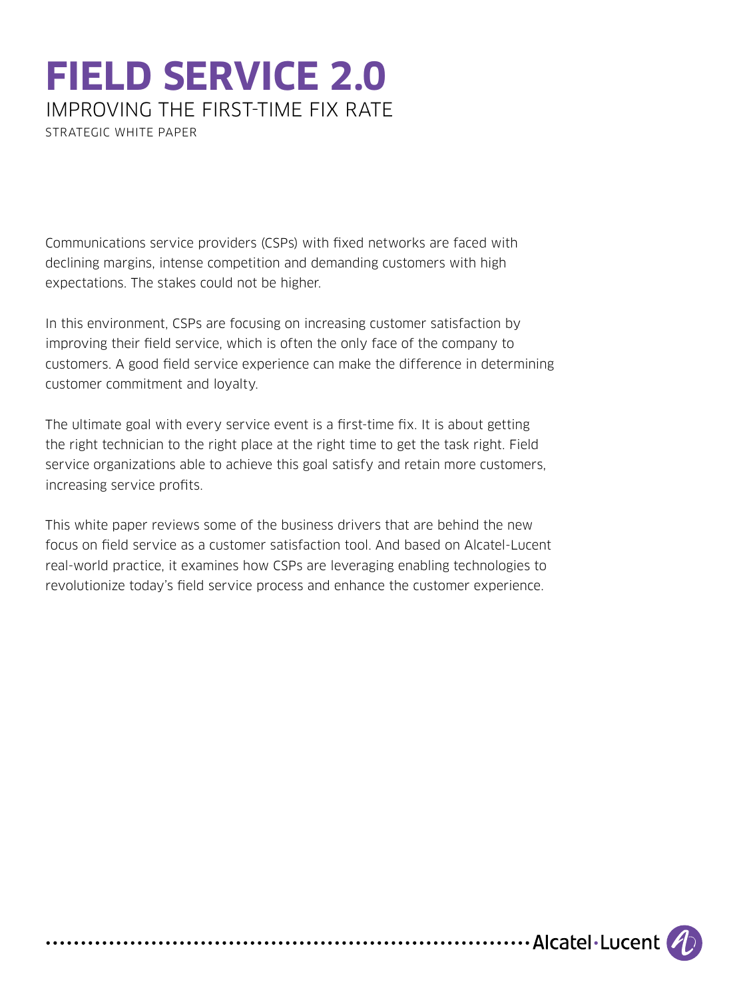# **FIELD SERVICE 2.0**  IMPROVING THE FIRST-TIME FIX RATE

STRATEGIC WHITE PAPER

Communications service providers (CSPs) with fixed networks are faced with declining margins, intense competition and demanding customers with high expectations. The stakes could not be higher.

In this environment, CSPs are focusing on increasing customer satisfaction by improving their field service, which is often the only face of the company to customers. A good field service experience can make the difference in determining customer commitment and loyalty.

The ultimate goal with every service event is a first-time fix. It is about getting the right technician to the right place at the right time to get the task right. Field service organizations able to achieve this goal satisfy and retain more customers, increasing service profits.

This white paper reviews some of the business drivers that are behind the new focus on field service as a customer satisfaction tool. And based on Alcatel-Lucent real-world practice, it examines how CSPs are leveraging enabling technologies to revolutionize today's field service process and enhance the customer experience.

....................Alcatel·Lucent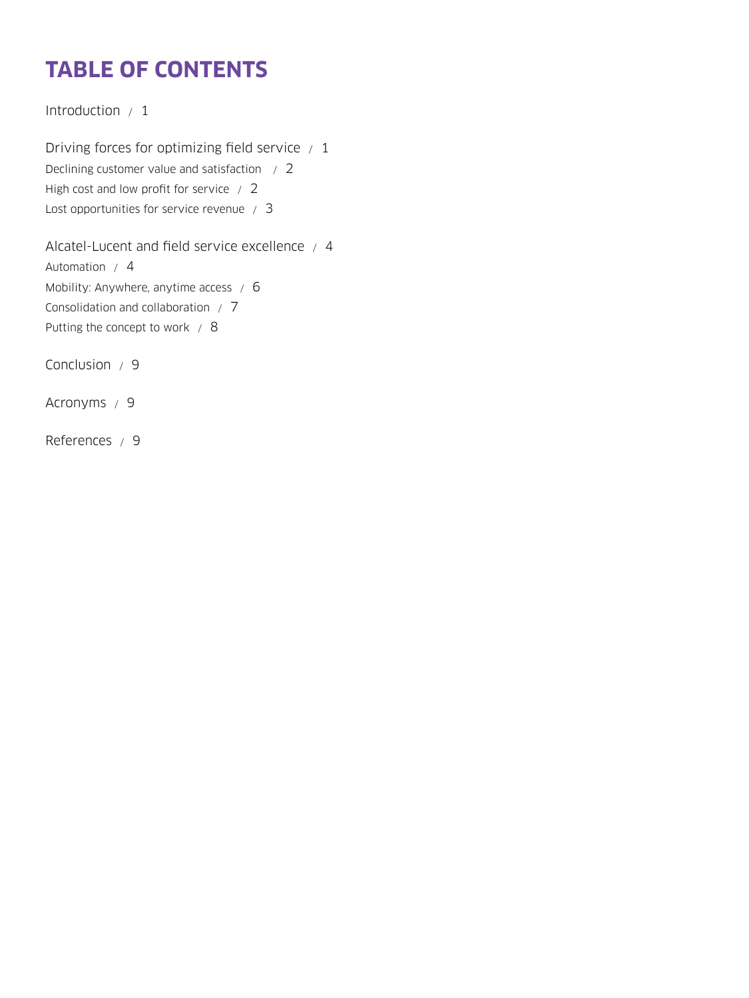# **TABLE OF CONTENTS**

[Introduction / 1](#page-2-0)

[Driving forces for optimizing field service / 1](#page-2-0) [Declining customer value and satisfaction / 2](#page-3-0) [High cost and low profit for service / 2](#page-3-0) [Lost opportunities for service revenue / 3](#page-4-0)

[Alcatel-Lucent and field service excellence / 4](#page-5-0) [Automation / 4](#page-5-0) [Mobility: Anywhere, anytime access / 6](#page-7-0) [Consolidation and collaboration / 7](#page-8-0) [Putting the concept to work / 8](#page-9-0)

[Conclusion / 9](#page-10-0)

[Acronyms / 9](#page-10-0)

[References / 9](#page-10-0)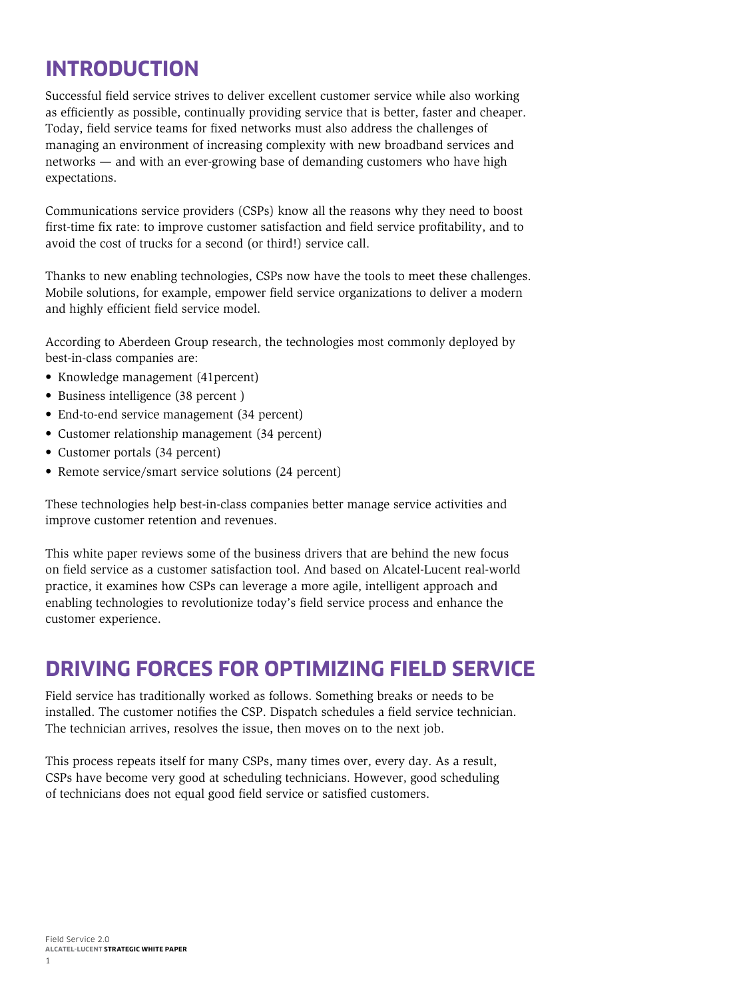# <span id="page-2-0"></span>**INTRODUCTION**

Successful field service strives to deliver excellent customer service while also working as efficiently as possible, continually providing service that is better, faster and cheaper. Today, field service teams for fixed networks must also address the challenges of managing an environment of increasing complexity with new broadband services and networks — and with an ever-growing base of demanding customers who have high expectations.

Communications service providers (CSPs) know all the reasons why they need to boost first-time fix rate: to improve customer satisfaction and field service profitability, and to avoid the cost of trucks for a second (or third!) service call.

Thanks to new enabling technologies, CSPs now have the tools to meet these challenges. Mobile solutions, for example, empower field service organizations to deliver a modern and highly efficient field service model.

According to Aberdeen Group research, the technologies most commonly deployed by best-in-class companies are:

- Knowledge management (41percent)
- Business intelligence (38 percent )
- End-to-end service management (34 percent)
- Customer relationship management (34 percent)
- Customer portals (34 percent)
- Remote service/smart service solutions (24 percent)

These technologies help best-in-class companies better manage service activities and improve customer retention and revenues.

This white paper reviews some of the business drivers that are behind the new focus on field service as a customer satisfaction tool. And based on Alcatel-Lucent real-world practice, it examines how CSPs can leverage a more agile, intelligent approach and enabling technologies to revolutionize today's field service process and enhance the customer experience.

### **DRIVING FORCES FOR OPTIMIZING FIELD SERVICE**

Field service has traditionally worked as follows. Something breaks or needs to be installed. The customer notifies the CSP. Dispatch schedules a field service technician. The technician arrives, resolves the issue, then moves on to the next job.

This process repeats itself for many CSPs, many times over, every day. As a result, CSPs have become very good at scheduling technicians. However, good scheduling of technicians does not equal good field service or satisfied customers.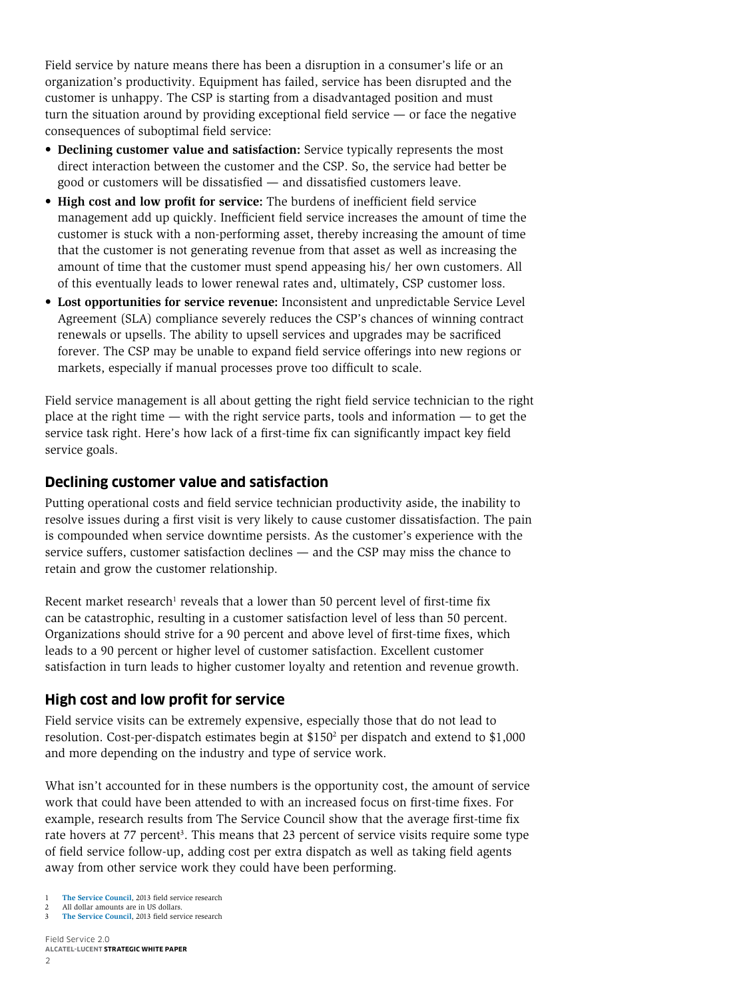<span id="page-3-0"></span>Field service by nature means there has been a disruption in a consumer's life or an organization's productivity. Equipment has failed, service has been disrupted and the customer is unhappy. The CSP is starting from a disadvantaged position and must turn the situation around by providing exceptional field service — or face the negative consequences of suboptimal field service:

- **• Declining customer value and satisfaction:** Service typically represents the most direct interaction between the customer and the CSP. So, the service had better be good or customers will be dissatisfied — and dissatisfied customers leave.
- **• High cost and low profit for service:** The burdens of inefficient field service management add up quickly. Inefficient field service increases the amount of time the customer is stuck with a non-performing asset, thereby increasing the amount of time that the customer is not generating revenue from that asset as well as increasing the amount of time that the customer must spend appeasing his/ her own customers. All of this eventually leads to lower renewal rates and, ultimately, CSP customer loss.
- **• Lost opportunities for service revenue:** Inconsistent and unpredictable Service Level Agreement (SLA) compliance severely reduces the CSP's chances of winning contract renewals or upsells. The ability to upsell services and upgrades may be sacrificed forever. The CSP may be unable to expand field service offerings into new regions or markets, especially if manual processes prove too difficult to scale.

Field service management is all about getting the right field service technician to the right place at the right time — with the right service parts, tools and information — to get the service task right. Here's how lack of a first-time fix can significantly impact key field service goals.

#### **Declining customer value and satisfaction**

Putting operational costs and field service technician productivity aside, the inability to resolve issues during a first visit is very likely to cause customer dissatisfaction. The pain is compounded when service downtime persists. As the customer's experience with the service suffers, customer satisfaction declines — and the CSP may miss the chance to retain and grow the customer relationship.

Recent market research<sup>1</sup> reveals that a lower than 50 percent level of first-time fix can be catastrophic, resulting in a customer satisfaction level of less than 50 percent. Organizations should strive for a 90 percent and above level of first-time fixes, which leads to a 90 percent or higher level of customer satisfaction. Excellent customer satisfaction in turn leads to higher customer loyalty and retention and revenue growth.

#### **High cost and low profit for service**

Field service visits can be extremely expensive, especially those that do not lead to resolution. Cost-per-dispatch estimates begin at \$150<sup>2</sup> per dispatch and extend to \$1,000 and more depending on the industry and type of service work.

What isn't accounted for in these numbers is the opportunity cost, the amount of service work that could have been attended to with an increased focus on first-time fixes. For example, research results from The Service Council show that the average first-time fix rate hovers at 77 percent<sup>3</sup>. This means that 23 percent of service visits require some type of field service follow-up, adding cost per extra dispatch as well as taking field agents away from other service work they could have been performing.

Field Service 2.0 **ALCATEL-LUCENT STRATEGIC WHITE PAPER**

[The Service Council](http://www.theservicecouncil.com/), 2013 field service research

All dollar amounts are in US dollars.

<sup>3</sup> **[The Service Council](http://www.theservicecouncil.com/)**, 2013 field service research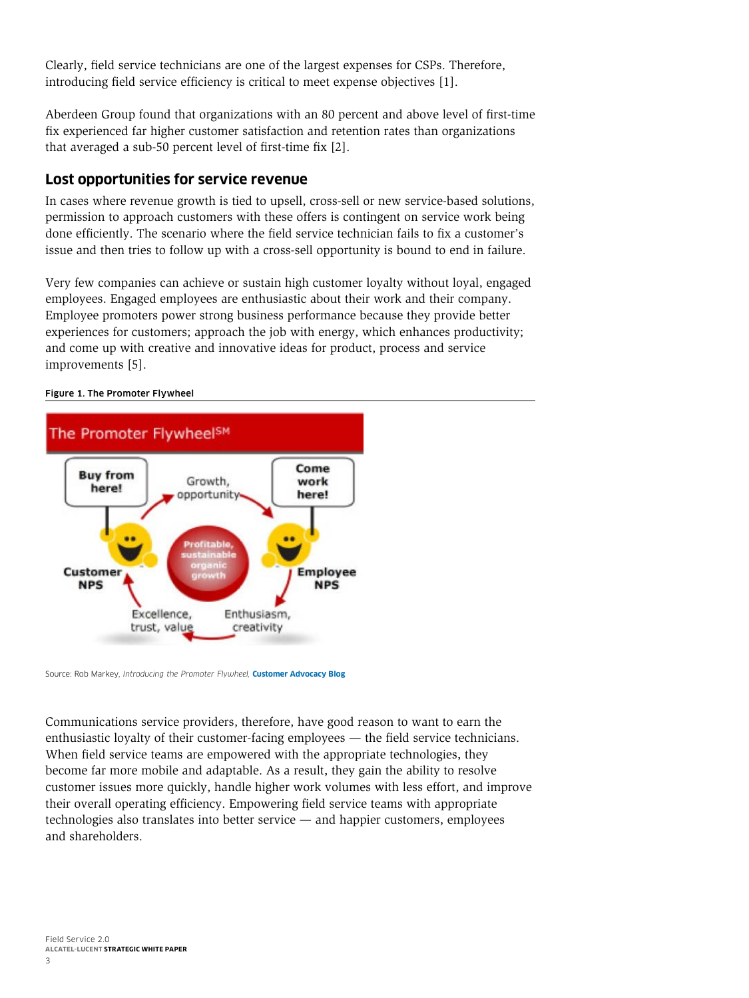<span id="page-4-0"></span>Clearly, field service technicians are one of the largest expenses for CSPs. Therefore, introducing field service efficiency is critical to meet expense objectives [1].

Aberdeen Group found that organizations with an 80 percent and above level of first-time fix experienced far higher customer satisfaction and retention rates than organizations that averaged a sub-50 percent level of first-time fix [2].

#### **Lost opportunities for service revenue**

In cases where revenue growth is tied to upsell, cross-sell or new service-based solutions, permission to approach customers with these offers is contingent on service work being done efficiently. The scenario where the field service technician fails to fix a customer's issue and then tries to follow up with a cross-sell opportunity is bound to end in failure.

Very few companies can achieve or sustain high customer loyalty without loyal, engaged employees. Engaged employees are enthusiastic about their work and their company. Employee promoters power strong business performance because they provide better experiences for customers; approach the job with energy, which enhances productivity; and come up with creative and innovative ideas for product, process and service improvements [5].

#### Figure 1. The Promoter Flywheel



Source: Rob Markey, *Introducing the Promoter Flywheel,* **[Customer Advocacy Blog](http://www.robmarkey.com/customer-advocacy-blog/2011/2/9/introducing-the-promoter-flywheel.html)**

Communications service providers, therefore, have good reason to want to earn the enthusiastic loyalty of their customer-facing employees — the field service technicians. When field service teams are empowered with the appropriate technologies, they become far more mobile and adaptable. As a result, they gain the ability to resolve customer issues more quickly, handle higher work volumes with less effort, and improve their overall operating efficiency. Empowering field service teams with appropriate technologies also translates into better service — and happier customers, employees and shareholders.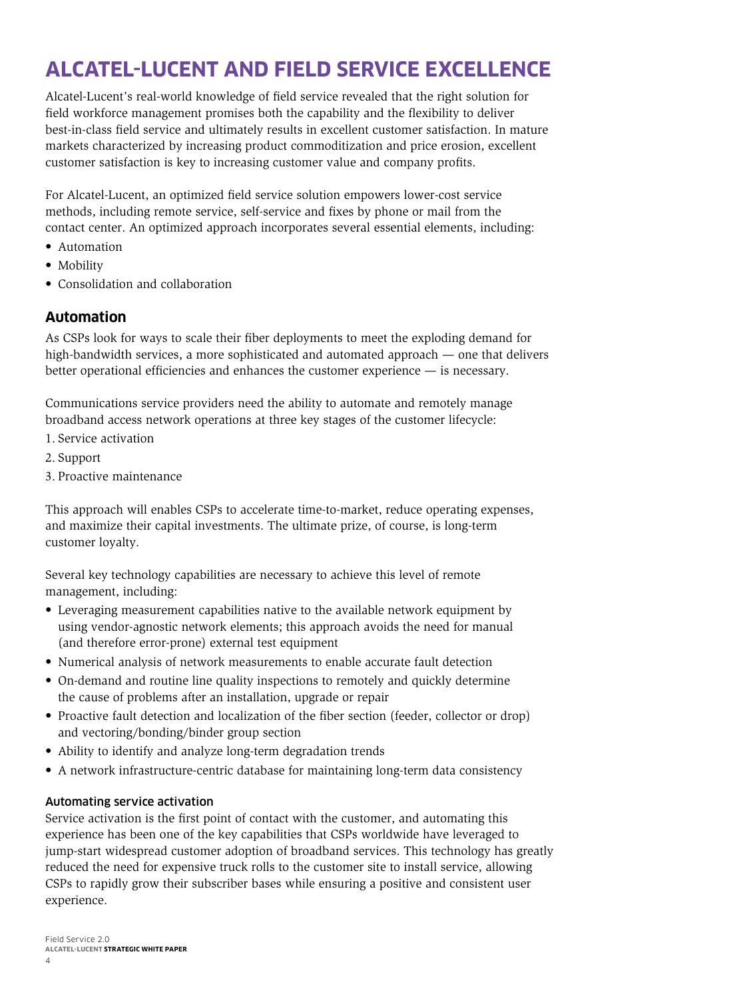# <span id="page-5-0"></span>**ALCATEL-LUCENT AND FIELD SERVICE EXCELLENCE**

Alcatel-Lucent's real-world knowledge of field service revealed that the right solution for field workforce management promises both the capability and the flexibility to deliver best-in-class field service and ultimately results in excellent customer satisfaction. In mature markets characterized by increasing product commoditization and price erosion, excellent customer satisfaction is key to increasing customer value and company profits.

For Alcatel-Lucent, an optimized field service solution empowers lower-cost service methods, including remote service, self-service and fixes by phone or mail from the contact center. An optimized approach incorporates several essential elements, including:

- Automation
- Mobility
- Consolidation and collaboration

#### **Automation**

As CSPs look for ways to scale their fiber deployments to meet the exploding demand for high-bandwidth services, a more sophisticated and automated approach — one that delivers better operational efficiencies and enhances the customer experience — is necessary.

Communications service providers need the ability to automate and remotely manage broadband access network operations at three key stages of the customer lifecycle:

- 1. Service activation
- 2. Support
- 3. Proactive maintenance

This approach will enables CSPs to accelerate time-to-market, reduce operating expenses, and maximize their capital investments. The ultimate prize, of course, is long-term customer loyalty.

Several key technology capabilities are necessary to achieve this level of remote management, including:

- Leveraging measurement capabilities native to the available network equipment by using vendor-agnostic network elements; this approach avoids the need for manual (and therefore error-prone) external test equipment
- Numerical analysis of network measurements to enable accurate fault detection
- On-demand and routine line quality inspections to remotely and quickly determine the cause of problems after an installation, upgrade or repair
- Proactive fault detection and localization of the fiber section (feeder, collector or drop) and vectoring/bonding/binder group section
- Ability to identify and analyze long-term degradation trends
- A network infrastructure-centric database for maintaining long-term data consistency

#### Automating service activation

Service activation is the first point of contact with the customer, and automating this experience has been one of the key capabilities that CSPs worldwide have leveraged to jump-start widespread customer adoption of broadband services. This technology has greatly reduced the need for expensive truck rolls to the customer site to install service, allowing CSPs to rapidly grow their subscriber bases while ensuring a positive and consistent user experience.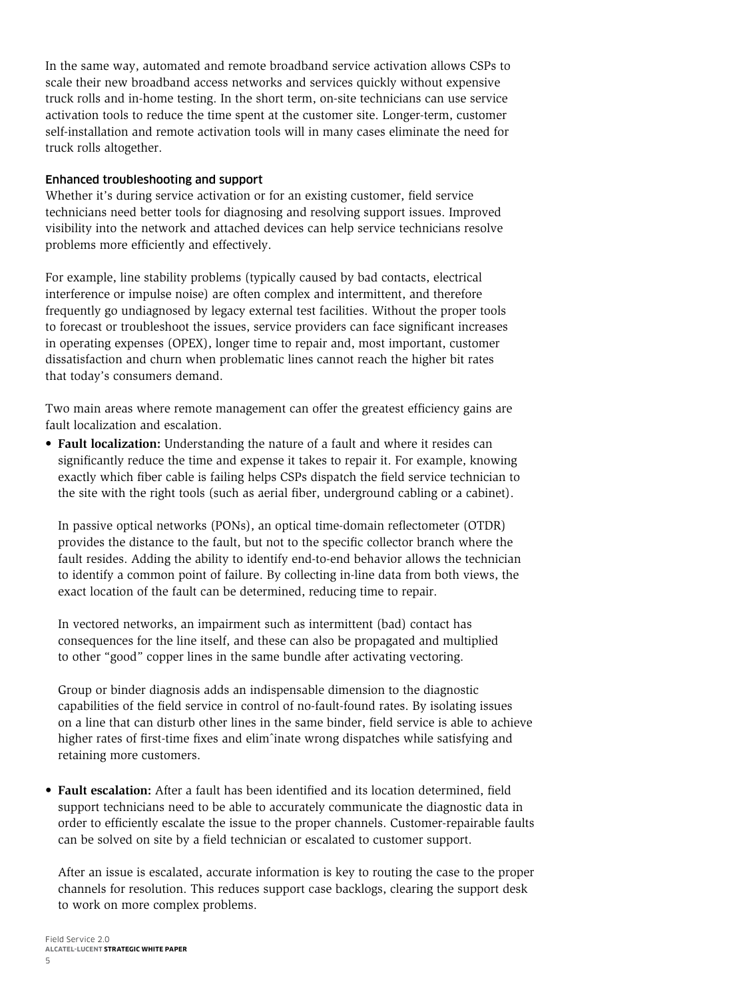In the same way, automated and remote broadband service activation allows CSPs to scale their new broadband access networks and services quickly without expensive truck rolls and in-home testing. In the short term, on-site technicians can use service activation tools to reduce the time spent at the customer site. Longer-term, customer self-installation and remote activation tools will in many cases eliminate the need for truck rolls altogether.

#### Enhanced troubleshooting and support

Whether it's during service activation or for an existing customer, field service technicians need better tools for diagnosing and resolving support issues. Improved visibility into the network and attached devices can help service technicians resolve problems more efficiently and effectively.

For example, line stability problems (typically caused by bad contacts, electrical interference or impulse noise) are often complex and intermittent, and therefore frequently go undiagnosed by legacy external test facilities. Without the proper tools to forecast or troubleshoot the issues, service providers can face significant increases in operating expenses (OPEX), longer time to repair and, most important, customer dissatisfaction and churn when problematic lines cannot reach the higher bit rates that today's consumers demand.

Two main areas where remote management can offer the greatest efficiency gains are fault localization and escalation.

**• Fault localization:** Understanding the nature of a fault and where it resides can significantly reduce the time and expense it takes to repair it. For example, knowing exactly which fiber cable is failing helps CSPs dispatch the field service technician to the site with the right tools (such as aerial fiber, underground cabling or a cabinet).

In passive optical networks (PONs), an optical time-domain reflectometer (OTDR) provides the distance to the fault, but not to the specific collector branch where the fault resides. Adding the ability to identify end-to-end behavior allows the technician to identify a common point of failure. By collecting in-line data from both views, the exact location of the fault can be determined, reducing time to repair.

In vectored networks, an impairment such as intermittent (bad) contact has consequences for the line itself, and these can also be propagated and multiplied to other "good" copper lines in the same bundle after activating vectoring.

Group or binder diagnosis adds an indispensable dimension to the diagnostic capabilities of the field service in control of no-fault-found rates. By isolating issues on a line that can disturb other lines in the same binder, field service is able to achieve higher rates of first-time fixes and elimˆinate wrong dispatches while satisfying and retaining more customers.

**• Fault escalation:** After a fault has been identified and its location determined, field support technicians need to be able to accurately communicate the diagnostic data in order to efficiently escalate the issue to the proper channels. Customer-repairable faults can be solved on site by a field technician or escalated to customer support.

After an issue is escalated, accurate information is key to routing the case to the proper channels for resolution. This reduces support case backlogs, clearing the support desk to work on more complex problems.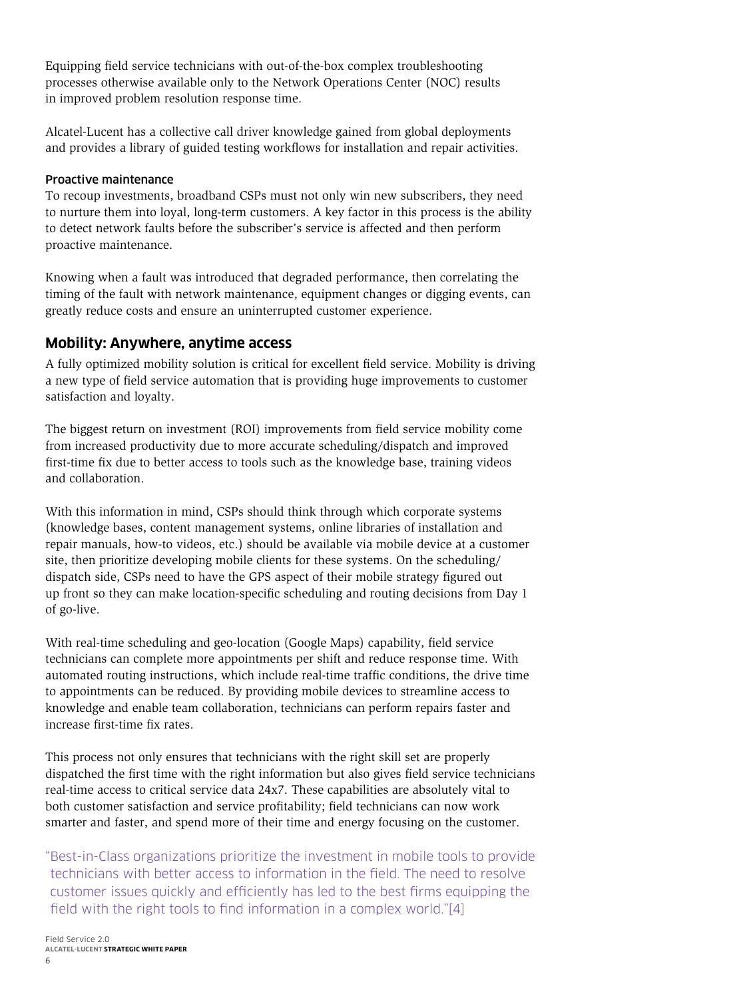<span id="page-7-0"></span>Equipping field service technicians with out-of-the-box complex troubleshooting processes otherwise available only to the Network Operations Center (NOC) results in improved problem resolution response time.

Alcatel-Lucent has a collective call driver knowledge gained from global deployments and provides a library of guided testing workflows for installation and repair activities.

#### Proactive maintenance

To recoup investments, broadband CSPs must not only win new subscribers, they need to nurture them into loyal, long-term customers. A key factor in this process is the ability to detect network faults before the subscriber's service is affected and then perform proactive maintenance.

Knowing when a fault was introduced that degraded performance, then correlating the timing of the fault with network maintenance, equipment changes or digging events, can greatly reduce costs and ensure an uninterrupted customer experience.

#### **Mobility: Anywhere, anytime access**

A fully optimized mobility solution is critical for excellent field service. Mobility is driving a new type of field service automation that is providing huge improvements to customer satisfaction and loyalty.

The biggest return on investment (ROI) improvements from field service mobility come from increased productivity due to more accurate scheduling/dispatch and improved first-time fix due to better access to tools such as the knowledge base, training videos and collaboration.

With this information in mind, CSPs should think through which corporate systems (knowledge bases, content management systems, online libraries of installation and repair manuals, how-to videos, etc.) should be available via mobile device at a customer site, then prioritize developing mobile clients for these systems. On the scheduling/ dispatch side, CSPs need to have the GPS aspect of their mobile strategy figured out up front so they can make location-specific scheduling and routing decisions from Day 1 of go-live.

With real-time scheduling and geo-location (Google Maps) capability, field service technicians can complete more appointments per shift and reduce response time. With automated routing instructions, which include real-time traffic conditions, the drive time to appointments can be reduced. By providing mobile devices to streamline access to knowledge and enable team collaboration, technicians can perform repairs faster and increase first-time fix rates.

This process not only ensures that technicians with the right skill set are properly dispatched the first time with the right information but also gives field service technicians real-time access to critical service data 24x7. These capabilities are absolutely vital to both customer satisfaction and service profitability; field technicians can now work smarter and faster, and spend more of their time and energy focusing on the customer.

"Best-in-Class organizations prioritize the investment in mobile tools to provide technicians with better access to information in the field. The need to resolve customer issues quickly and efficiently has led to the best firms equipping the field with the right tools to find information in a complex world."[4]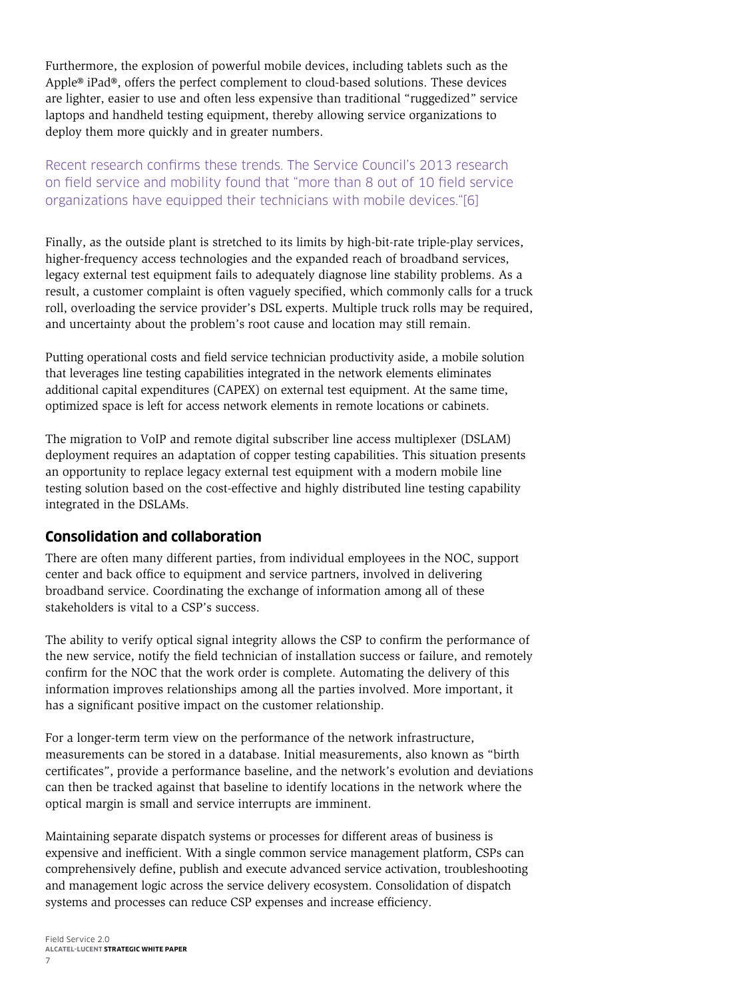<span id="page-8-0"></span>Furthermore, the explosion of powerful mobile devices, including tablets such as the Apple® iPad®, offers the perfect complement to cloud-based solutions. These devices are lighter, easier to use and often less expensive than traditional "ruggedized" service laptops and handheld testing equipment, thereby allowing service organizations to deploy them more quickly and in greater numbers.

#### Recent research confirms these trends. The Service Council's 2013 research on field service and mobility found that "more than 8 out of 10 field service organizations have equipped their technicians with mobile devices."[6]

Finally, as the outside plant is stretched to its limits by high-bit-rate triple-play services, higher-frequency access technologies and the expanded reach of broadband services, legacy external test equipment fails to adequately diagnose line stability problems. As a result, a customer complaint is often vaguely specified, which commonly calls for a truck roll, overloading the service provider's DSL experts. Multiple truck rolls may be required, and uncertainty about the problem's root cause and location may still remain.

Putting operational costs and field service technician productivity aside, a mobile solution that leverages line testing capabilities integrated in the network elements eliminates additional capital expenditures (CAPEX) on external test equipment. At the same time, optimized space is left for access network elements in remote locations or cabinets.

The migration to VoIP and remote digital subscriber line access multiplexer (DSLAM) deployment requires an adaptation of copper testing capabilities. This situation presents an opportunity to replace legacy external test equipment with a modern mobile line testing solution based on the cost-effective and highly distributed line testing capability integrated in the DSLAMs.

#### **Consolidation and collaboration**

There are often many different parties, from individual employees in the NOC, support center and back office to equipment and service partners, involved in delivering broadband service. Coordinating the exchange of information among all of these stakeholders is vital to a CSP's success.

The ability to verify optical signal integrity allows the CSP to confirm the performance of the new service, notify the field technician of installation success or failure, and remotely confirm for the NOC that the work order is complete. Automating the delivery of this information improves relationships among all the parties involved. More important, it has a significant positive impact on the customer relationship.

For a longer-term term view on the performance of the network infrastructure, measurements can be stored in a database. Initial measurements, also known as "birth certificates", provide a performance baseline, and the network's evolution and deviations can then be tracked against that baseline to identify locations in the network where the optical margin is small and service interrupts are imminent.

Maintaining separate dispatch systems or processes for different areas of business is expensive and inefficient. With a single common service management platform, CSPs can comprehensively define, publish and execute advanced service activation, troubleshooting and management logic across the service delivery ecosystem. Consolidation of dispatch systems and processes can reduce CSP expenses and increase efficiency.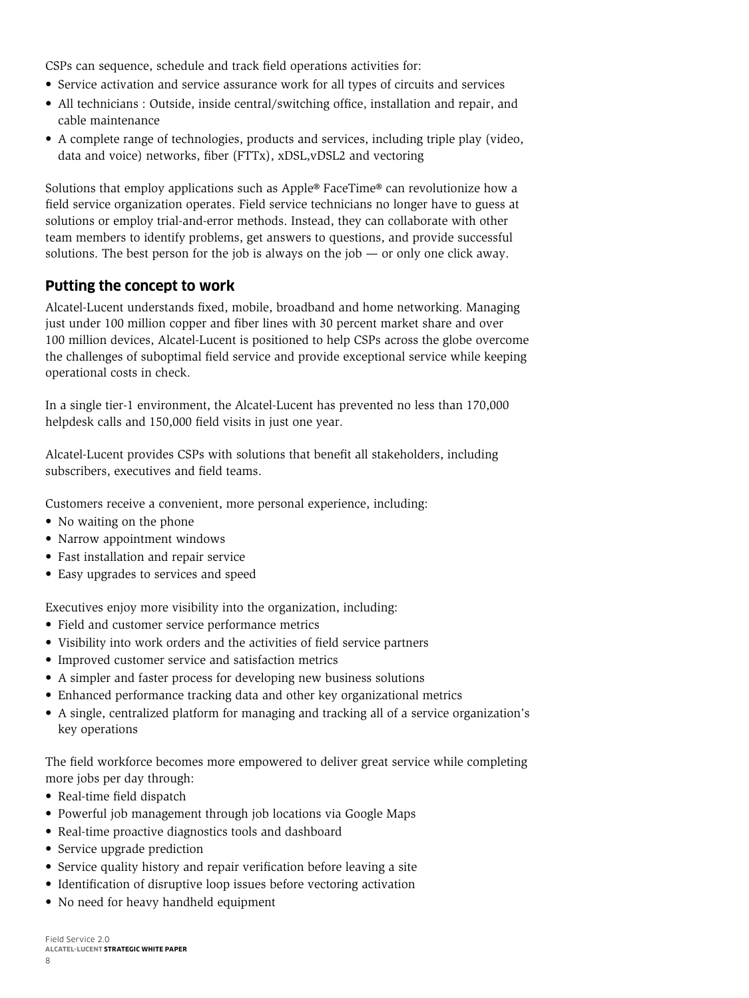<span id="page-9-0"></span>CSPs can sequence, schedule and track field operations activities for:

- Service activation and service assurance work for all types of circuits and services
- All technicians : Outside, inside central/switching office, installation and repair, and cable maintenance
- A complete range of technologies, products and services, including triple play (video, data and voice) networks, fiber (FTTx), xDSL,vDSL2 and vectoring

Solutions that employ applications such as Apple® FaceTime® can revolutionize how a field service organization operates. Field service technicians no longer have to guess at solutions or employ trial-and-error methods. Instead, they can collaborate with other team members to identify problems, get answers to questions, and provide successful solutions. The best person for the job is always on the job  $-$  or only one click away.

#### **Putting the concept to work**

Alcatel-Lucent understands fixed, mobile, broadband and home networking. Managing just under 100 million copper and fiber lines with 30 percent market share and over 100 million devices, Alcatel-Lucent is positioned to help CSPs across the globe overcome the challenges of suboptimal field service and provide exceptional service while keeping operational costs in check.

In a single tier-1 environment, the Alcatel-Lucent has prevented no less than 170,000 helpdesk calls and 150,000 field visits in just one year.

Alcatel-Lucent provides CSPs with solutions that benefit all stakeholders, including subscribers, executives and field teams.

Customers receive a convenient, more personal experience, including:

- No waiting on the phone
- Narrow appointment windows
- Fast installation and repair service
- Easy upgrades to services and speed

Executives enjoy more visibility into the organization, including:

- Field and customer service performance metrics
- Visibility into work orders and the activities of field service partners
- Improved customer service and satisfaction metrics
- A simpler and faster process for developing new business solutions
- Enhanced performance tracking data and other key organizational metrics
- A single, centralized platform for managing and tracking all of a service organization's key operations

The field workforce becomes more empowered to deliver great service while completing more jobs per day through:

- Real-time field dispatch
- Powerful job management through job locations via Google Maps
- Real-time proactive diagnostics tools and dashboard
- Service upgrade prediction
- Service quality history and repair verification before leaving a site
- Identification of disruptive loop issues before vectoring activation
- No need for heavy handheld equipment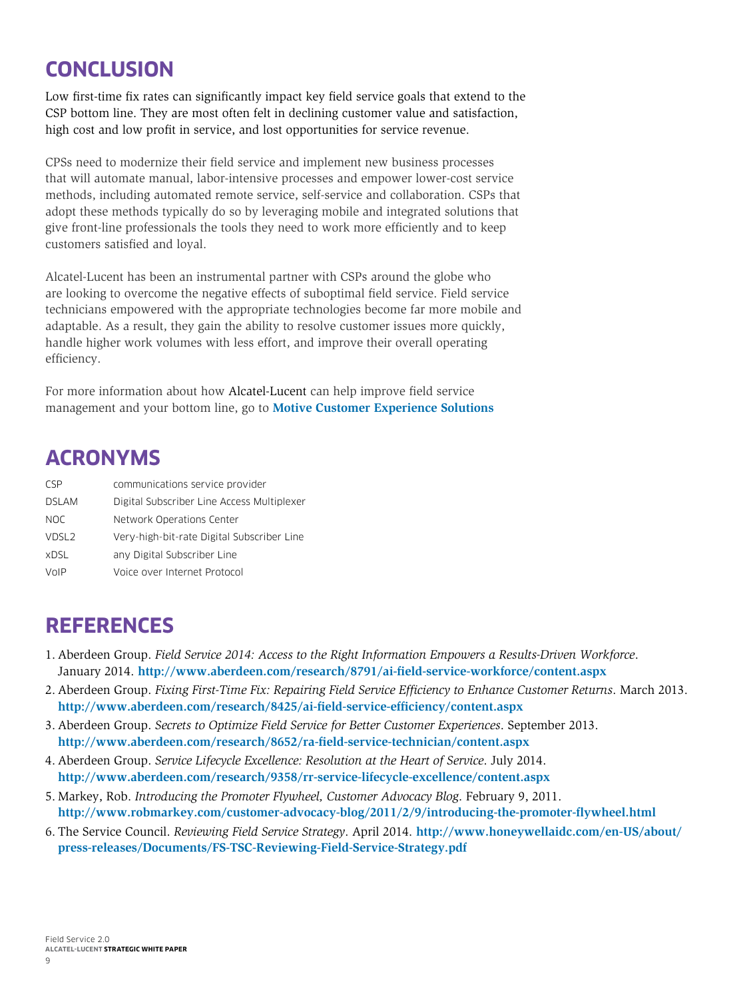# <span id="page-10-0"></span>**CONCLUSION**

Low first-time fix rates can significantly impact key field service goals that extend to the CSP bottom line. They are most often felt in declining customer value and satisfaction, high cost and low profit in service, and lost opportunities for service revenue.

CPSs need to modernize their field service and implement new business processes that will automate manual, labor-intensive processes and empower lower-cost service methods, including automated remote service, self-service and collaboration. CSPs that adopt these methods typically do so by leveraging mobile and integrated solutions that give front-line professionals the tools they need to work more efficiently and to keep customers satisfied and loyal.

Alcatel-Lucent has been an instrumental partner with CSPs around the globe who are looking to overcome the negative effects of suboptimal field service. Field service technicians empowered with the appropriate technologies become far more mobile and adaptable. As a result, they gain the ability to resolve customer issues more quickly, handle higher work volumes with less effort, and improve their overall operating efficiency.

For more information about how Alcatel-Lucent can help improve field service management and your bottom line, go to **[Motive Customer Experience Solutions](http://www.alcatel-lucent.com/solutions/motive-customer-experience)**

## **ACRONYMS**

| CSP               | communications service provider            |
|-------------------|--------------------------------------------|
| <b>DSLAM</b>      | Digital Subscriber Line Access Multiplexer |
| <b>NOC</b>        | Network Operations Center                  |
| VDSL <sub>2</sub> | Very-high-bit-rate Digital Subscriber Line |
| <b>xDSL</b>       | any Digital Subscriber Line                |
| VoIP              | Voice over Internet Protocol               |

### **REFERENCES**

- 1. Aberdeen Group. *Field Service 2014: Access to the Right Information Empowers a Results-Driven Workforce*. January 2014. **<http://www.aberdeen.com/research/8791/ai-field-service-workforce/content.aspx>**
- 2. Aberdeen Group. *Fixing First-Time Fix: Repairing Field Service Efficiency to Enhance Customer Returns*. March 2013. **<http://www.aberdeen.com/research/8425/ai-field-service-efficiency/content.aspx>**
- 3. Aberdeen Group. *Secrets to Optimize Field Service for Better Customer Experiences*. September 2013. **<http://www.aberdeen.com/research/8652/ra-field-service-technician/content.aspx>**
- 4. Aberdeen Group. *Service Lifecycle Excellence: Resolution at the Heart of Service*. July 2014. **<http://www.aberdeen.com/research/9358/rr-service-lifecycle-excellence/content.aspx>**
- 5. Markey, Rob. *Introducing the Promoter Flywheel, Customer Advocacy Blog*. February 9, 2011. **<http://www.robmarkey.com/customer-advocacy-blog/2011/2/9/introducing-the-promoter-flywheel.html>**
- 6. The Service Council. *Reviewing Field Service Strategy*. April 2014. **[http://www.honeywellaidc.com/en-US/about/](http://www.honeywellaidc.com/en-US/about/press-releases/Documents/FS-TSC-Reviewing-Field-Service-Strategy.pdf) [press-releases/Documents/FS-TSC-Reviewing-Field-Service-Strategy.pdf](http://www.honeywellaidc.com/en-US/about/press-releases/Documents/FS-TSC-Reviewing-Field-Service-Strategy.pdf)**